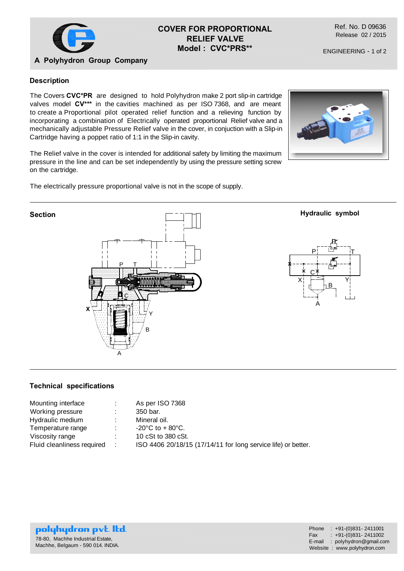

# **COVER FOR PROPORTIONAL RELIEF VALVE Model : CVC\*PRS\*\***

Ref. No. D 09636 Release 02 / 2015

ENGINEERING - 1 of 2

## **A Polyhydron Group Company**

### **Description**

The Covers **CVC\*PR** are designed to hold Polyhydron make 2 port slip-in cartridge valves model **CV\*\*\*** in the cavities machined as per ISO 7368, and are meant to create a Proportional pilot operated relief function and a relieving function by incorporating a combination of Electrically operated proportional Relief valve and a mechanically adjustable Pressure Relief valve in the cover, in conjuction with a Slip-in Cartridge having a poppet ratio of 1:1 in the Slip-in cavity.

The Relief valve in the cover is intended for additional safety by limiting the maximum pressure in the line and can be set independently by using the pressure setting screw on the cartridge.





#### **Technical specifications**

|   | As per ISO 7368                                               |
|---|---------------------------------------------------------------|
| ÷ | 350 bar.                                                      |
|   | Mineral oil.                                                  |
|   | $-20^{\circ}$ C to + 80 $^{\circ}$ C.                         |
|   | 10 cSt to 380 cSt.                                            |
|   | ISO 4406 20/18/15 (17/14/11 for long service life) or better. |
|   | $\sim$ 100                                                    |